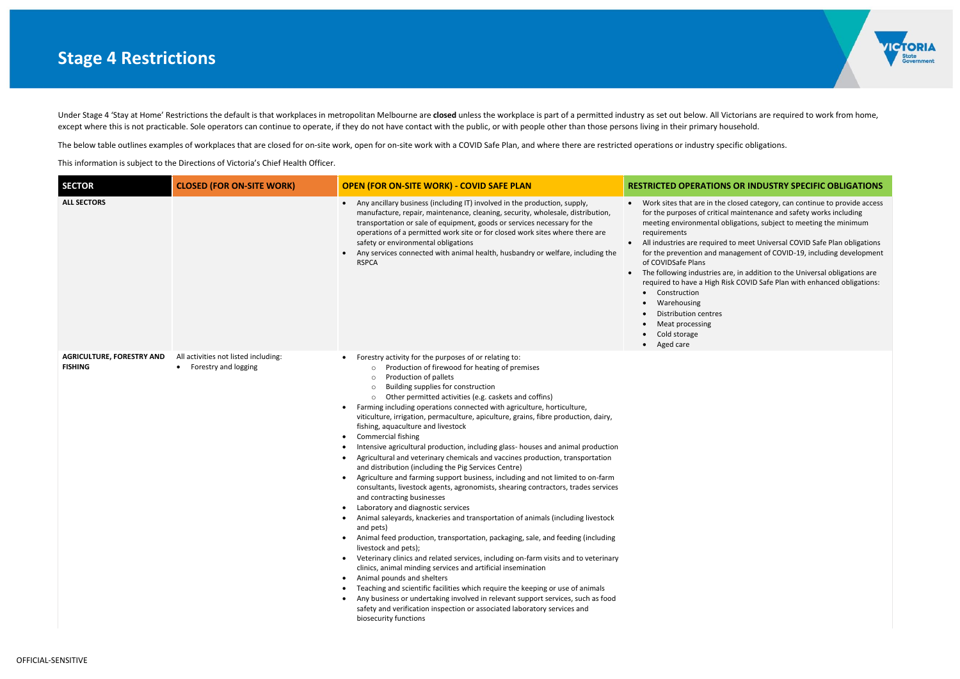

### **SINS OR INDUSTRY SPECIFIC OBLIGATIONS**

the closed category, can continue to provide access tical maintenance and safety works including I obligations, subject to meeting the minimum

red to meet Universal COVID Safe Plan obligations I management of COVID-19, including development

es are, in addition to the Universal obligations are required obligations: Risk COVID Safe Plan with enhanced obligations:

Under Stage 4 'Stay at Home' Restrictions the default is that workplaces in metropolitan Melbourne are closed unless the workplace is part of a permitted industry as set out below. All Victorians are required to work from except where this is not practicable. Sole operators can continue to operate, if they do not have contact with the public, or with people other than those persons living in their primary household.

The below table outlines examples of workplaces that are closed for on-site work, open for on-site work with a COVID Safe Plan, and where there are restricted operations or industry specific obligations. This information is subject to the Directions of Victoria's Chief Health Officer.

| <b>SECTOR</b>                                      | <b>CLOSED (FOR ON-SITE WORK)</b>                                          | <b>OPEN (FOR ON-SITE WORK) - COVID SAFE PLAN</b>                                                                                                                                                                                                                                                                                                                                                                                                                                                                                                                                                                                                                                                                                                                                                                                                                                                                                                                                                                                                                                                                                                                                                                                                                                                                                                                                                                                                                                                                                                                                                                                                                                                                                                                               | <b>RESTRICTED OPERATIO</b>                                                                                                                                                                                                                                                                                                                                                                   |
|----------------------------------------------------|---------------------------------------------------------------------------|--------------------------------------------------------------------------------------------------------------------------------------------------------------------------------------------------------------------------------------------------------------------------------------------------------------------------------------------------------------------------------------------------------------------------------------------------------------------------------------------------------------------------------------------------------------------------------------------------------------------------------------------------------------------------------------------------------------------------------------------------------------------------------------------------------------------------------------------------------------------------------------------------------------------------------------------------------------------------------------------------------------------------------------------------------------------------------------------------------------------------------------------------------------------------------------------------------------------------------------------------------------------------------------------------------------------------------------------------------------------------------------------------------------------------------------------------------------------------------------------------------------------------------------------------------------------------------------------------------------------------------------------------------------------------------------------------------------------------------------------------------------------------------|----------------------------------------------------------------------------------------------------------------------------------------------------------------------------------------------------------------------------------------------------------------------------------------------------------------------------------------------------------------------------------------------|
| <b>ALL SECTORS</b>                                 |                                                                           | Any ancillary business (including IT) involved in the production, supply,<br>$\bullet$<br>manufacture, repair, maintenance, cleaning, security, wholesale, distribution,<br>transportation or sale of equipment, goods or services necessary for the<br>operations of a permitted work site or for closed work sites where there are<br>safety or environmental obligations<br>Any services connected with animal health, husbandry or welfare, including the<br><b>RSPCA</b>                                                                                                                                                                                                                                                                                                                                                                                                                                                                                                                                                                                                                                                                                                                                                                                                                                                                                                                                                                                                                                                                                                                                                                                                                                                                                                  | Work sites that are in th<br>$\bullet$<br>for the purposes of critio<br>meeting environmental<br>requirements<br>All industries are require<br>$\bullet$<br>for the prevention and r<br>of COVIDSafe Plans<br>The following industries<br>$\bullet$<br>required to have a High<br>Construction<br>Warehousing<br><b>Distribution centres</b><br>Meat processing<br>Cold storage<br>Aged care |
| <b>AGRICULTURE, FORESTRY AND</b><br><b>FISHING</b> | All activities not listed including:<br>Forestry and logging<br>$\bullet$ | Forestry activity for the purposes of or relating to:<br>$\bullet$<br>Production of firewood for heating of premises<br>$\circ$<br>Production of pallets<br>$\circ$<br>Building supplies for construction<br>$\circ$<br>Other permitted activities (e.g. caskets and coffins)<br>$\circ$<br>Farming including operations connected with agriculture, horticulture,<br>$\bullet$<br>viticulture, irrigation, permaculture, apiculture, grains, fibre production, dairy,<br>fishing, aquaculture and livestock<br><b>Commercial fishing</b><br>٠<br>Intensive agricultural production, including glass- houses and animal production<br>Agricultural and veterinary chemicals and vaccines production, transportation<br>$\bullet$<br>and distribution (including the Pig Services Centre)<br>Agriculture and farming support business, including and not limited to on-farm<br>$\bullet$<br>consultants, livestock agents, agronomists, shearing contractors, trades services<br>and contracting businesses<br>Laboratory and diagnostic services<br>$\bullet$<br>Animal saleyards, knackeries and transportation of animals (including livestock<br>and pets)<br>Animal feed production, transportation, packaging, sale, and feeding (including<br>livestock and pets);<br>Veterinary clinics and related services, including on-farm visits and to veterinary<br>$\bullet$<br>clinics, animal minding services and artificial insemination<br>Animal pounds and shelters<br>$\bullet$<br>Teaching and scientific facilities which require the keeping or use of animals<br>$\bullet$<br>Any business or undertaking involved in relevant support services, such as food<br>safety and verification inspection or associated laboratory services and<br>biosecurity functions |                                                                                                                                                                                                                                                                                                                                                                                              |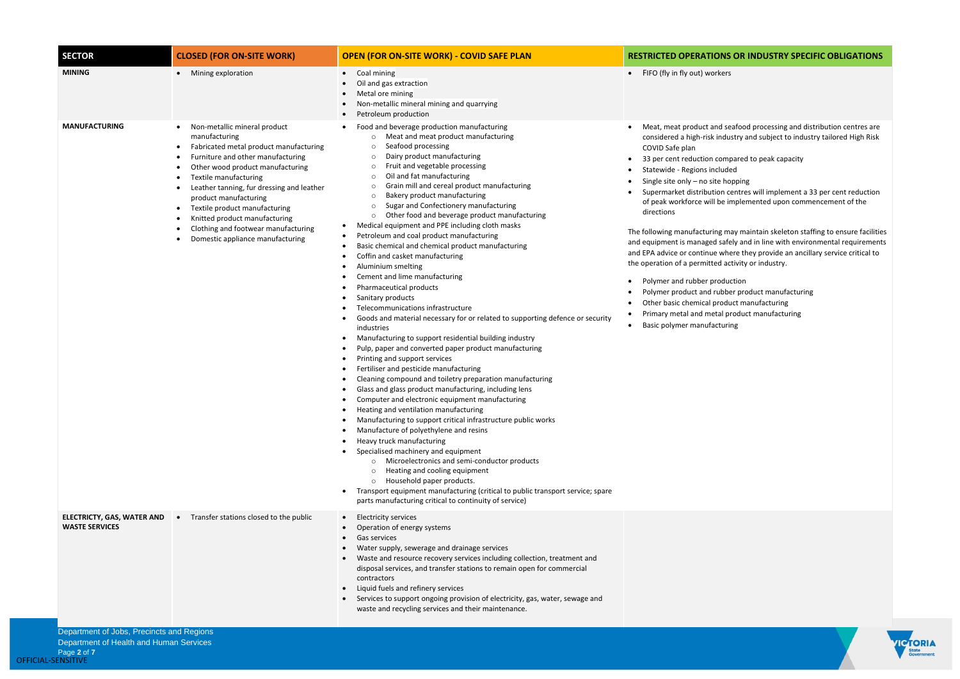## **S OR INDUSTRY SPECIFIC OBLIGATIONS**

seafood processing and distribution centres are dustry and subject to industry tailored High Risk

- npared to peak capacity
- 
- nopping
- centres will implement a 33 per cent reduction implemented upon commencement of the

may maintain skeleton staffing to ensure facilities fely and in line with environmental requirements here they provide an ancillary service critical to activity or industry.

- uction
- ber product manufacturing
- duct manufacturing
- product manufacturing
- ring



| <b>SECTOR</b>                                              | <b>CLOSED (FOR ON-SITE WORK)</b>                                                                                                                                                                                                                                                                                                                                                                                    | <b>OPEN (FOR ON-SITE WORK) - COVID SAFE PLAN</b>                                                                                                                                                                                                                                                                                                                                                                                                                                                                                                                                                                                                                                                                                                                                                                                                                                                                                                                                                                                                                                                                                                                                                                                                                                                                                                                                                                                                                                                                                                                                                                                                                                                                                                                                  | <b>RESTRICTED OPERATIONS O</b>                                                                                                                                                                                                                                                                                                                                                                                                                                                                                                                                         |
|------------------------------------------------------------|---------------------------------------------------------------------------------------------------------------------------------------------------------------------------------------------------------------------------------------------------------------------------------------------------------------------------------------------------------------------------------------------------------------------|-----------------------------------------------------------------------------------------------------------------------------------------------------------------------------------------------------------------------------------------------------------------------------------------------------------------------------------------------------------------------------------------------------------------------------------------------------------------------------------------------------------------------------------------------------------------------------------------------------------------------------------------------------------------------------------------------------------------------------------------------------------------------------------------------------------------------------------------------------------------------------------------------------------------------------------------------------------------------------------------------------------------------------------------------------------------------------------------------------------------------------------------------------------------------------------------------------------------------------------------------------------------------------------------------------------------------------------------------------------------------------------------------------------------------------------------------------------------------------------------------------------------------------------------------------------------------------------------------------------------------------------------------------------------------------------------------------------------------------------------------------------------------------------|------------------------------------------------------------------------------------------------------------------------------------------------------------------------------------------------------------------------------------------------------------------------------------------------------------------------------------------------------------------------------------------------------------------------------------------------------------------------------------------------------------------------------------------------------------------------|
| <b>MINING</b>                                              | Mining exploration                                                                                                                                                                                                                                                                                                                                                                                                  | Coal mining<br>Oil and gas extraction<br>Metal ore mining<br>Non-metallic mineral mining and quarrying<br>Petroleum production                                                                                                                                                                                                                                                                                                                                                                                                                                                                                                                                                                                                                                                                                                                                                                                                                                                                                                                                                                                                                                                                                                                                                                                                                                                                                                                                                                                                                                                                                                                                                                                                                                                    | FIFO (fly in fly out) workers<br>$\bullet$                                                                                                                                                                                                                                                                                                                                                                                                                                                                                                                             |
| <b>MANUFACTURING</b>                                       | Non-metallic mineral product<br>manufacturing<br>Fabricated metal product manufacturing<br>Furniture and other manufacturing<br>Other wood product manufacturing<br><b>Textile manufacturing</b><br>Leather tanning, fur dressing and leather<br>product manufacturing<br>Textile product manufacturing<br>Knitted product manufacturing<br>Clothing and footwear manufacturing<br>Domestic appliance manufacturing | Food and beverage production manufacturing<br>Meat and meat product manufacturing<br>$\circ$<br>Seafood processing<br>$\circ$<br>Dairy product manufacturing<br>$\circ$<br>Fruit and vegetable processing<br>$\circ$<br>Oil and fat manufacturing<br>$\circ$<br>Grain mill and cereal product manufacturing<br>$\circ$<br>Bakery product manufacturing<br>∩<br>Sugar and Confectionery manufacturing<br>$\Omega$<br>Other food and beverage product manufacturing<br>$\circ$<br>Medical equipment and PPE including cloth masks<br>Petroleum and coal product manufacturing<br>Basic chemical and chemical product manufacturing<br>Coffin and casket manufacturing<br>Aluminium smelting<br>Cement and lime manufacturing<br>Pharmaceutical products<br>Sanitary products<br>Telecommunications infrastructure<br>Goods and material necessary for or related to supporting defence or security<br>industries<br>Manufacturing to support residential building industry<br>Pulp, paper and converted paper product manufacturing<br>Printing and support services<br>Fertiliser and pesticide manufacturing<br>Cleaning compound and toiletry preparation manufacturing<br>Glass and glass product manufacturing, including lens<br>Computer and electronic equipment manufacturing<br>Heating and ventilation manufacturing<br>Manufacturing to support critical infrastructure public works<br>Manufacture of polyethylene and resins<br>Heavy truck manufacturing<br>Specialised machinery and equipment<br>Microelectronics and semi-conductor products<br>Heating and cooling equipment<br>Household paper products.<br>$\circ$<br>Transport equipment manufacturing (critical to public transport service; spare<br>parts manufacturing critical to continuity of service) | Meat, meat product and sea<br>considered a high-risk indust<br>COVID Safe plan<br>33 per cent reduction compa<br>Statewide - Regions included<br>Single site only - no site hop<br>Supermarket distribution cer<br>of peak workforce will be im<br>directions<br>The following manufacturing may<br>and equipment is managed safely<br>and EPA advice or continue wher<br>the operation of a permitted activ<br>Polymer and rubber product<br>Polymer product and rubber<br>Other basic chemical product<br>Primary metal and metal pro<br>Basic polymer manufacturing |
| <b>ELECTRICTY, GAS, WATER AND</b><br><b>WASTE SERVICES</b> | Transfer stations closed to the public<br>$\bullet$                                                                                                                                                                                                                                                                                                                                                                 | <b>Electricity services</b><br>$\bullet$<br>Operation of energy systems<br>Gas services<br>Water supply, sewerage and drainage services<br>Waste and resource recovery services including collection, treatment and<br>disposal services, and transfer stations to remain open for commercial<br>contractors<br>Liquid fuels and refinery services<br>Services to support ongoing provision of electricity, gas, water, sewage and<br>waste and recycling services and their maintenance.                                                                                                                                                                                                                                                                                                                                                                                                                                                                                                                                                                                                                                                                                                                                                                                                                                                                                                                                                                                                                                                                                                                                                                                                                                                                                         |                                                                                                                                                                                                                                                                                                                                                                                                                                                                                                                                                                        |
| Department of Jobs, Precincts and Regions                  |                                                                                                                                                                                                                                                                                                                                                                                                                     |                                                                                                                                                                                                                                                                                                                                                                                                                                                                                                                                                                                                                                                                                                                                                                                                                                                                                                                                                                                                                                                                                                                                                                                                                                                                                                                                                                                                                                                                                                                                                                                                                                                                                                                                                                                   |                                                                                                                                                                                                                                                                                                                                                                                                                                                                                                                                                                        |

Department of Health and Human Services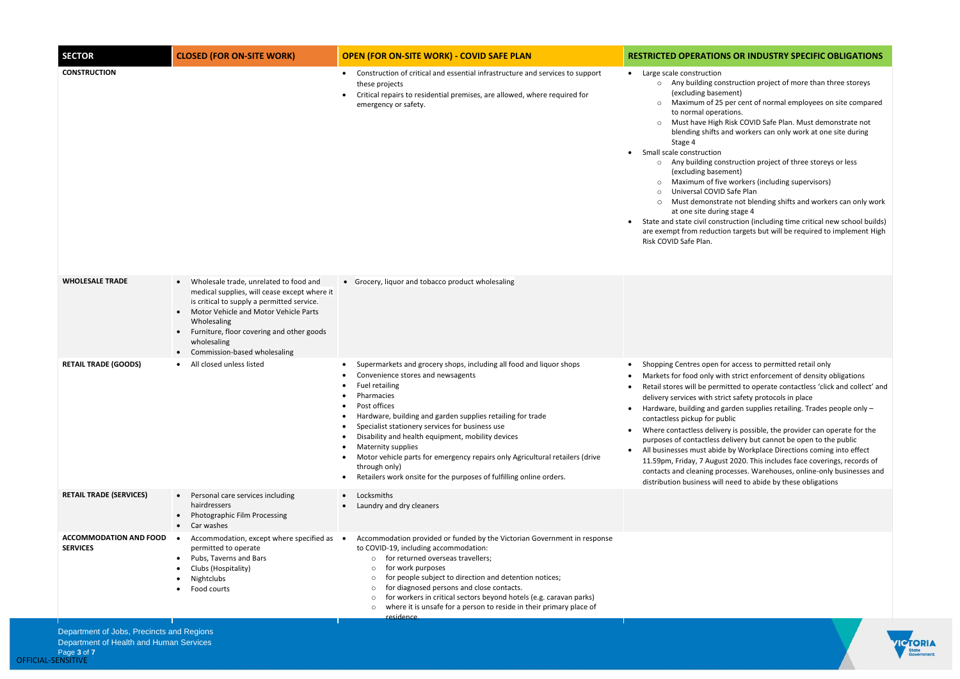Department of Jobs, Precincts and Regions Department of Health and Human Services

#### **IS OR INDUSTRY SPECIFIC OBLIGATIONS**

- istruction project of more than three storeys nent)
- per cent of normal employees on site compared tions.
- Risk COVID Safe Plan. Must demonstrate not Ind workers can only work at one site during
- istruction project of three storeys or less nent)
- o workers (including supervisors)
- Safe Plan
- ate not blending shifts and workers can only work g stage 4
- truction (including time critical new school builds) on targets but will be required to implement High

- or access to permitted retail only
- th strict enforcement of density obligations
- itted to operate contactless 'click and collect' and ict safety protocols in place
- arden supplies retailing. Trades people only blic
- ry is possible, the provider can operate for the lelivery but cannot be open to the public  $e$  by Workplace Directions coming into effect
- t 2020. This includes face coverings, records of ocesses. Warehouses, online-only businesses and need to abide by these obligations



| <b>SECTOR</b>                                    | <b>CLOSED (FOR ON-SITE WORK)</b>                                                                                                                                                                                                                                                         | <b>OPEN (FOR ON-SITE WORK) - COVID SAFE PLAN</b>                                                                                                                                                                                                                                                                                                                                                                                                                                                                                                                           | <b>RESTRICTED OPERATION</b>                                                                                                                                                                                                                                                                                                                                                                                                                  |
|--------------------------------------------------|------------------------------------------------------------------------------------------------------------------------------------------------------------------------------------------------------------------------------------------------------------------------------------------|----------------------------------------------------------------------------------------------------------------------------------------------------------------------------------------------------------------------------------------------------------------------------------------------------------------------------------------------------------------------------------------------------------------------------------------------------------------------------------------------------------------------------------------------------------------------------|----------------------------------------------------------------------------------------------------------------------------------------------------------------------------------------------------------------------------------------------------------------------------------------------------------------------------------------------------------------------------------------------------------------------------------------------|
| <b>CONSTRUCTION</b>                              |                                                                                                                                                                                                                                                                                          | Construction of critical and essential infrastructure and services to support<br>$\bullet$<br>these projects<br>Critical repairs to residential premises, are allowed, where required for<br>$\bullet$<br>emergency or safety.                                                                                                                                                                                                                                                                                                                                             | Large scale construction<br>Any building con<br>$\circ$<br>(excluding basem<br>Maximum of 25<br>$\circ$<br>to normal operat<br>Must have High I<br>blending shifts ar<br>Stage 4<br>Small scale construction<br>Any building con<br>$\circ$<br>(excluding basem<br>Maximum of five<br>Universal COVID<br>Must demonstra<br>$\circ$<br>at one site during<br>State and state civil const<br>are exempt from reductio<br>Risk COVID Safe Plan. |
| <b>WHOLESALE TRADE</b>                           | Wholesale trade, unrelated to food and<br>medical supplies, will cease except where it<br>is critical to supply a permitted service.<br>Motor Vehicle and Motor Vehicle Parts<br>Wholesaling<br>Furniture, floor covering and other goods<br>wholesaling<br>Commission-based wholesaling | • Grocery, liquor and tobacco product wholesaling                                                                                                                                                                                                                                                                                                                                                                                                                                                                                                                          |                                                                                                                                                                                                                                                                                                                                                                                                                                              |
| <b>RETAIL TRADE (GOODS)</b>                      | All closed unless listed                                                                                                                                                                                                                                                                 | Supermarkets and grocery shops, including all food and liquor shops<br>$\bullet$<br>Convenience stores and newsagents<br><b>Fuel retailing</b><br>Pharmacies<br>Post offices<br>Hardware, building and garden supplies retailing for trade<br>$\bullet$<br>Specialist stationery services for business use<br>Disability and health equipment, mobility devices<br>Maternity supplies<br>Motor vehicle parts for emergency repairs only Agricultural retailers (drive<br>through only)<br>Retailers work onsite for the purposes of fulfilling online orders.<br>$\bullet$ | Shopping Centres open fo<br>Markets for food only wit<br>Retail stores will be permi<br>٠<br>delivery services with stric<br>Hardware, building and ga<br>contactless pickup for pul<br>Where contactless deliver<br>$\bullet$<br>purposes of contactless d<br>All businesses must abide<br>11.59pm, Friday, 7 August<br>contacts and cleaning pro<br>distribution business will                                                             |
| <b>RETAIL TRADE (SERVICES)</b>                   | Personal care services including<br>$\bullet$<br>hairdressers<br>Photographic Film Processing<br>Car washes                                                                                                                                                                              | Locksmiths<br>$\bullet$<br>Laundry and dry cleaners                                                                                                                                                                                                                                                                                                                                                                                                                                                                                                                        |                                                                                                                                                                                                                                                                                                                                                                                                                                              |
| <b>ACCOMMODATION AND FOOD</b><br><b>SERVICES</b> | Accommodation, except where specified as •<br>permitted to operate<br>Pubs, Taverns and Bars<br>Clubs (Hospitality)<br>Nightclubs<br>Food courts                                                                                                                                         | Accommodation provided or funded by the Victorian Government in response<br>to COVID-19, including accommodation:<br>for returned overseas travellers;<br>$\circ$<br>for work purposes<br>$\Omega$<br>for people subject to direction and detention notices;<br>$\Omega$<br>for diagnosed persons and close contacts.<br>$\Omega$<br>for workers in critical sectors beyond hotels (e.g. caravan parks)<br>$\circ$<br>where it is unsafe for a person to reside in their primary place of<br>$\circ$                                                                       |                                                                                                                                                                                                                                                                                                                                                                                                                                              |
|                                                  |                                                                                                                                                                                                                                                                                          | residence.                                                                                                                                                                                                                                                                                                                                                                                                                                                                                                                                                                 |                                                                                                                                                                                                                                                                                                                                                                                                                                              |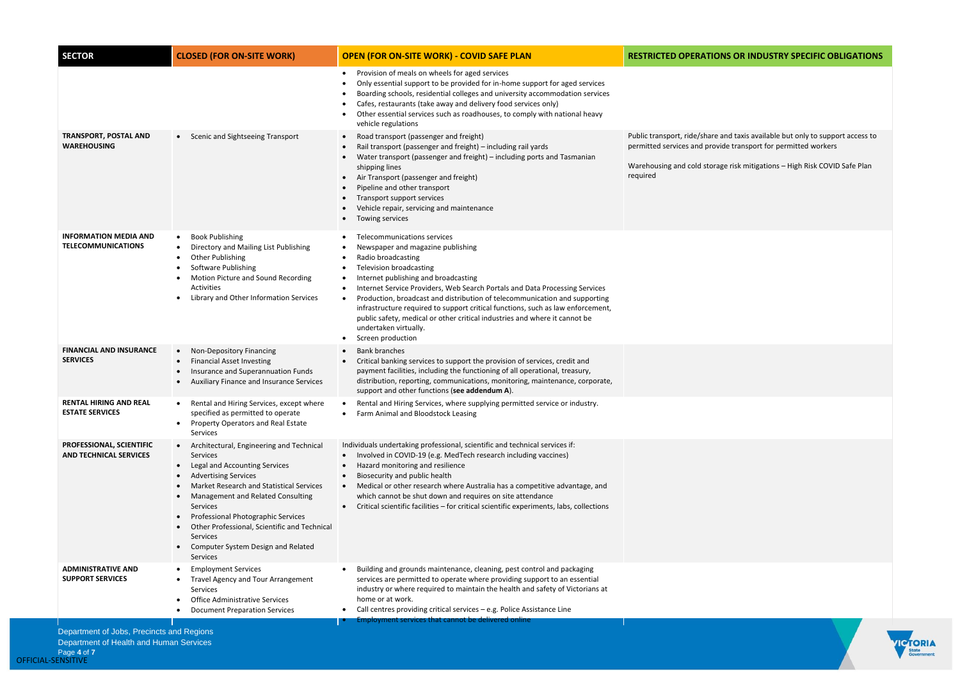Department of Health and Human Services

# **NS OR INDUSTRY SPECIFIC OBLIGATIONS**

Public transport, ride/share and taxis available but only to support access to permitted services and provide transport for permitted workers

ge risk mitigations – High Risk COVID Safe Plan



| <b>SECTOR</b>                                             | <b>CLOSED (FOR ON-SITE WORK)</b>                                                                                                                                                                                                                                                                                                                                                   | <b>OPEN (FOR ON-SITE WORK) - COVID SAFE PLAN</b>                                                                                                                                                                                                                                                                                                                                                                                                                                                                                                                                                                                                                                                                                                                                                                                     | <b>RESTRICTED OPERATION</b>                                                                               |
|-----------------------------------------------------------|------------------------------------------------------------------------------------------------------------------------------------------------------------------------------------------------------------------------------------------------------------------------------------------------------------------------------------------------------------------------------------|--------------------------------------------------------------------------------------------------------------------------------------------------------------------------------------------------------------------------------------------------------------------------------------------------------------------------------------------------------------------------------------------------------------------------------------------------------------------------------------------------------------------------------------------------------------------------------------------------------------------------------------------------------------------------------------------------------------------------------------------------------------------------------------------------------------------------------------|-----------------------------------------------------------------------------------------------------------|
| <b>TRANSPORT, POSTAL AND</b><br><b>WAREHOUSING</b>        | • Scenic and Sightseeing Transport                                                                                                                                                                                                                                                                                                                                                 | Provision of meals on wheels for aged services<br>$\bullet$<br>Only essential support to be provided for in-home support for aged services<br>Boarding schools, residential colleges and university accommodation services<br>Cafes, restaurants (take away and delivery food services only)<br>Other essential services such as roadhouses, to comply with national heavy<br>$\bullet$<br>vehicle regulations<br>Road transport (passenger and freight)<br>$\bullet$<br>Rail transport (passenger and freight) - including rail yards<br>Water transport (passenger and freight) - including ports and Tasmanian<br>$\bullet$<br>shipping lines<br>Air Transport (passenger and freight)<br>$\bullet$<br>Pipeline and other transport<br>Transport support services<br>Vehicle repair, servicing and maintenance<br>Towing services | Public transport, ride/share a<br>permitted services and provi<br>Warehousing and cold storag<br>required |
| <b>INFORMATION MEDIA AND</b><br><b>TELECOMMUNICATIONS</b> | <b>Book Publishing</b><br>Directory and Mailing List Publishing<br>Other Publishing<br>Software Publishing<br>Motion Picture and Sound Recording<br>Activities<br>Library and Other Information Services                                                                                                                                                                           | Telecommunications services<br>Newspaper and magazine publishing<br>Radio broadcasting<br><b>Television broadcasting</b><br>Internet publishing and broadcasting<br>$\bullet$<br>Internet Service Providers, Web Search Portals and Data Processing Services<br>$\bullet$<br>Production, broadcast and distribution of telecommunication and supporting<br>$\bullet$<br>infrastructure required to support critical functions, such as law enforcement,<br>public safety, medical or other critical industries and where it cannot be<br>undertaken virtually.<br>Screen production                                                                                                                                                                                                                                                  |                                                                                                           |
| <b>FINANCIAL AND INSURANCE</b><br><b>SERVICES</b>         | Non-Depository Financing<br>$\bullet$<br><b>Financial Asset Investing</b><br>Insurance and Superannuation Funds<br>Auxiliary Finance and Insurance Services                                                                                                                                                                                                                        | <b>Bank branches</b><br>Critical banking services to support the provision of services, credit and<br>$\bullet$<br>payment facilities, including the functioning of all operational, treasury,<br>distribution, reporting, communications, monitoring, maintenance, corporate,<br>support and other functions (see addendum A).                                                                                                                                                                                                                                                                                                                                                                                                                                                                                                      |                                                                                                           |
| <b>RENTAL HIRING AND REAL</b><br><b>ESTATE SERVICES</b>   | Rental and Hiring Services, except where<br>٠<br>specified as permitted to operate<br>Property Operators and Real Estate<br>Services                                                                                                                                                                                                                                               | Rental and Hiring Services, where supplying permitted service or industry.<br>$\bullet$<br>Farm Animal and Bloodstock Leasing                                                                                                                                                                                                                                                                                                                                                                                                                                                                                                                                                                                                                                                                                                        |                                                                                                           |
| PROFESSIONAL, SCIENTIFIC<br><b>AND TECHNICAL SERVICES</b> | Architectural, Engineering and Technical<br>Services<br>Legal and Accounting Services<br>$\bullet$<br><b>Advertising Services</b><br>Market Research and Statistical Services<br>Management and Related Consulting<br>Services<br>Professional Photographic Services<br>Other Professional, Scientific and Technical<br>Services<br>Computer System Design and Related<br>Services | Individuals undertaking professional, scientific and technical services if:<br>Involved in COVID-19 (e.g. MedTech research including vaccines)<br>$\bullet$<br>Hazard monitoring and resilience<br>Biosecurity and public health<br>Medical or other research where Australia has a competitive advantage, and<br>$\bullet$<br>which cannot be shut down and requires on site attendance<br>Critical scientific facilities - for critical scientific experiments, labs, collections<br>$\bullet$                                                                                                                                                                                                                                                                                                                                     |                                                                                                           |
| <b>ADMINISTRATIVE AND</b><br><b>SUPPORT SERVICES</b>      | <b>Employment Services</b><br>Travel Agency and Tour Arrangement<br>Services<br><b>Office Administrative Services</b><br><b>Document Preparation Services</b>                                                                                                                                                                                                                      | Building and grounds maintenance, cleaning, pest control and packaging<br>$\bullet$<br>services are permitted to operate where providing support to an essential<br>industry or where required to maintain the health and safety of Victorians at<br>home or at work.<br>Call centres providing critical services - e.g. Police Assistance Line<br><b>Employment services that cannot be delivered online</b>                                                                                                                                                                                                                                                                                                                                                                                                                        |                                                                                                           |
| Department of Jobs, Precincts and Regions                 |                                                                                                                                                                                                                                                                                                                                                                                    |                                                                                                                                                                                                                                                                                                                                                                                                                                                                                                                                                                                                                                                                                                                                                                                                                                      |                                                                                                           |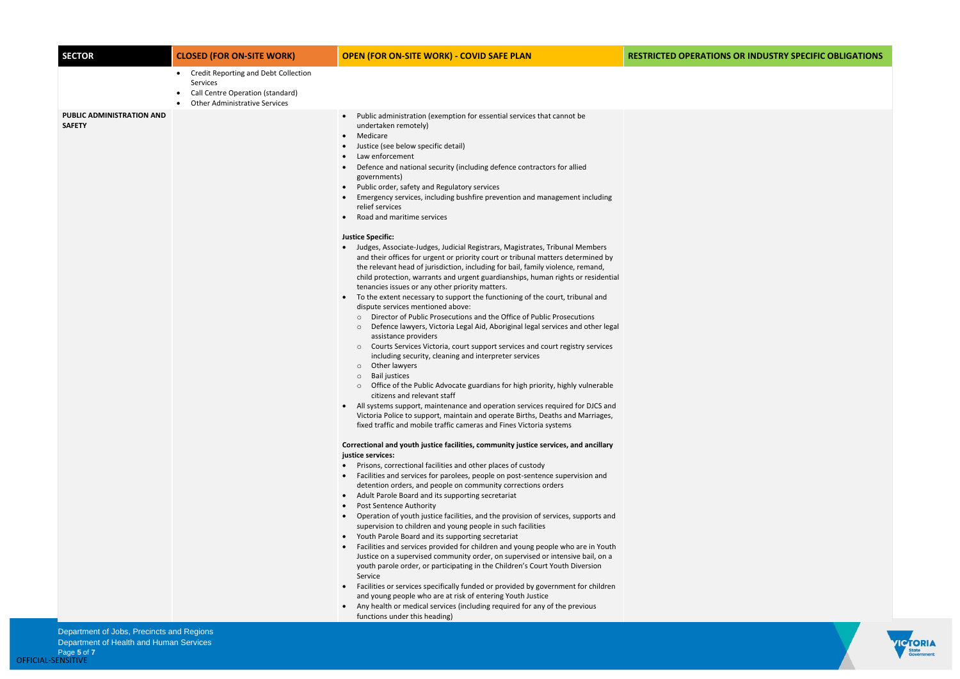Department of Jobs, Precincts and Regions Department of Health and Human Services

## **SECTOR CLOSED (FOR ON-SITE WORK) OPEN (FOR ON-SITE WORK) - COVID SAFE PLAN RESTRICTED OPERATIONS OR INDUSTRY SPECIFIC OBLIGATIONS**



| <b>SECTOR</b>                                     | <b>CLOSED (FOR ON-SITE WORK)</b>                                                                                                                 | <b>OPEN (FOR ON-SITE WORK) - COVID SAFE PLAN</b>                                                                                                                                                                                                                                                                                                                                                                                                                                                                                                                                                                                                                                                                                                                                                                                                                                                                                                                                                                                                                                                                                                                                                                                                                                                                                                                                                                                                                                                                                                                                                                                                                                                                                                                                                                                                                                                                                                                                                                                                                                                                                                                                                                                                                                                                                                                                                                                                                                                                                                                                                                                                                                                                                                                                                                                                                                                                                                                                                                                              | <b>RESTRICTED OPERAT</b> |
|---------------------------------------------------|--------------------------------------------------------------------------------------------------------------------------------------------------|-----------------------------------------------------------------------------------------------------------------------------------------------------------------------------------------------------------------------------------------------------------------------------------------------------------------------------------------------------------------------------------------------------------------------------------------------------------------------------------------------------------------------------------------------------------------------------------------------------------------------------------------------------------------------------------------------------------------------------------------------------------------------------------------------------------------------------------------------------------------------------------------------------------------------------------------------------------------------------------------------------------------------------------------------------------------------------------------------------------------------------------------------------------------------------------------------------------------------------------------------------------------------------------------------------------------------------------------------------------------------------------------------------------------------------------------------------------------------------------------------------------------------------------------------------------------------------------------------------------------------------------------------------------------------------------------------------------------------------------------------------------------------------------------------------------------------------------------------------------------------------------------------------------------------------------------------------------------------------------------------------------------------------------------------------------------------------------------------------------------------------------------------------------------------------------------------------------------------------------------------------------------------------------------------------------------------------------------------------------------------------------------------------------------------------------------------------------------------------------------------------------------------------------------------------------------------------------------------------------------------------------------------------------------------------------------------------------------------------------------------------------------------------------------------------------------------------------------------------------------------------------------------------------------------------------------------------------------------------------------------------------------------------------------------|--------------------------|
|                                                   | Credit Reporting and Debt Collection<br>$\bullet$<br><b>Services</b><br>Call Centre Operation (standard)<br><b>Other Administrative Services</b> |                                                                                                                                                                                                                                                                                                                                                                                                                                                                                                                                                                                                                                                                                                                                                                                                                                                                                                                                                                                                                                                                                                                                                                                                                                                                                                                                                                                                                                                                                                                                                                                                                                                                                                                                                                                                                                                                                                                                                                                                                                                                                                                                                                                                                                                                                                                                                                                                                                                                                                                                                                                                                                                                                                                                                                                                                                                                                                                                                                                                                                               |                          |
| <b>PUBLIC ADMINISTRATION AND</b><br><b>SAFETY</b> |                                                                                                                                                  | Public administration (exemption for essential services that cannot be<br>$\bullet$<br>undertaken remotely)<br>Medicare<br>$\bullet$<br>Justice (see below specific detail)<br>Law enforcement<br>Defence and national security (including defence contractors for allied<br>governments)<br>Public order, safety and Regulatory services<br>$\bullet$<br>Emergency services, including bushfire prevention and management including<br>relief services<br>Road and maritime services<br>$\bullet$<br><b>Justice Specific:</b><br>Judges, Associate-Judges, Judicial Registrars, Magistrates, Tribunal Members<br>and their offices for urgent or priority court or tribunal matters determined by<br>the relevant head of jurisdiction, including for bail, family violence, remand,<br>child protection, warrants and urgent guardianships, human rights or residential<br>tenancies issues or any other priority matters.<br>To the extent necessary to support the functioning of the court, tribunal and<br>dispute services mentioned above:<br>Director of Public Prosecutions and the Office of Public Prosecutions<br>$\circ$<br>Defence lawyers, Victoria Legal Aid, Aboriginal legal services and other legal<br>$\circ$<br>assistance providers<br>Courts Services Victoria, court support services and court registry services<br>$\circ$<br>including security, cleaning and interpreter services<br>Other lawyers<br>$\circ$<br><b>Bail justices</b><br>$\circ$<br>Office of the Public Advocate guardians for high priority, highly vulnerable<br>$\circ$<br>citizens and relevant staff<br>All systems support, maintenance and operation services required for DJCS and<br>Victoria Police to support, maintain and operate Births, Deaths and Marriages,<br>fixed traffic and mobile traffic cameras and Fines Victoria systems<br>Correctional and youth justice facilities, community justice services, and ancillary<br>justice services:<br>Prisons, correctional facilities and other places of custody<br>Facilities and services for parolees, people on post-sentence supervision and<br>detention orders, and people on community corrections orders<br>Adult Parole Board and its supporting secretariat<br>$\bullet$<br><b>Post Sentence Authority</b><br>Operation of youth justice facilities, and the provision of services, supports and<br>supervision to children and young people in such facilities<br>Youth Parole Board and its supporting secretariat<br>$\bullet$<br>Facilities and services provided for children and young people who are in Youth<br>Justice on a supervised community order, on supervised or intensive bail, on a<br>youth parole order, or participating in the Children's Court Youth Diversion<br>Service<br>Facilities or services specifically funded or provided by government for children<br>and young people who are at risk of entering Youth Justice<br>Any health or medical services (including required for any of the previous<br>functions under this heading) |                          |
| Department of Jobs, Precincts and Regions         |                                                                                                                                                  |                                                                                                                                                                                                                                                                                                                                                                                                                                                                                                                                                                                                                                                                                                                                                                                                                                                                                                                                                                                                                                                                                                                                                                                                                                                                                                                                                                                                                                                                                                                                                                                                                                                                                                                                                                                                                                                                                                                                                                                                                                                                                                                                                                                                                                                                                                                                                                                                                                                                                                                                                                                                                                                                                                                                                                                                                                                                                                                                                                                                                                               |                          |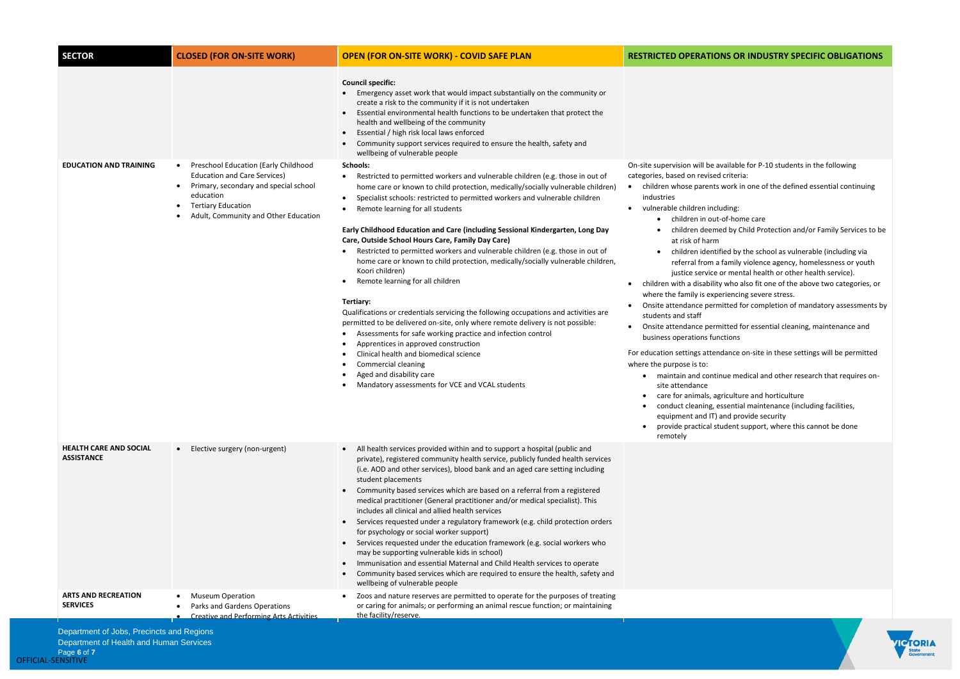Department of Health and Human Services

### **S OR INDUSTRY SPECIFIC OBLIGATIONS**

- ilable for P-10 students in the following iteria: ork in one of the defined essential continuing ing: home care<sup>:</sup> by Child Protection and/or Family Services to be ed by the school as vulnerable (including via mily violence agency, homelessness or youth mental health or other health service). ho also fit one of the above two categories, or encing severe stress. ted for completion of mandatory assessments by ted for essential cleaning, maintenance and ons nce on-site in these settings will be permitted
- e medical and other research that requires on-
- culture and horticulture
- ential maintenance (including facilities,
- d provide security
- ent support, where this cannot be done



| <b>SECTOR</b>                                      | <b>CLOSED (FOR ON-SITE WORK)</b>                                                                                                                                                                                         | <b>OPEN (FOR ON-SITE WORK) - COVID SAFE PLAN</b>                                                                                                                                                                                                                                                                                                                                                                                                                                                                                                                                                                                                                                                                                                                                                                                                                                                                                                                                                                                                                                                                     | <b>RESTRICTED OPERATIONS</b>                                                                                                                                                                                                                                                                                                                                                                                                                                                                                                                                                                                                                                                             |
|----------------------------------------------------|--------------------------------------------------------------------------------------------------------------------------------------------------------------------------------------------------------------------------|----------------------------------------------------------------------------------------------------------------------------------------------------------------------------------------------------------------------------------------------------------------------------------------------------------------------------------------------------------------------------------------------------------------------------------------------------------------------------------------------------------------------------------------------------------------------------------------------------------------------------------------------------------------------------------------------------------------------------------------------------------------------------------------------------------------------------------------------------------------------------------------------------------------------------------------------------------------------------------------------------------------------------------------------------------------------------------------------------------------------|------------------------------------------------------------------------------------------------------------------------------------------------------------------------------------------------------------------------------------------------------------------------------------------------------------------------------------------------------------------------------------------------------------------------------------------------------------------------------------------------------------------------------------------------------------------------------------------------------------------------------------------------------------------------------------------|
|                                                    |                                                                                                                                                                                                                          | <b>Council specific:</b><br>Emergency asset work that would impact substantially on the community or<br>create a risk to the community if it is not undertaken<br>Essential environmental health functions to be undertaken that protect the<br>$\bullet$<br>health and wellbeing of the community<br>Essential / high risk local laws enforced<br>$\bullet$<br>Community support services required to ensure the health, safety and<br>wellbeing of vulnerable people                                                                                                                                                                                                                                                                                                                                                                                                                                                                                                                                                                                                                                               |                                                                                                                                                                                                                                                                                                                                                                                                                                                                                                                                                                                                                                                                                          |
| <b>EDUCATION AND TRAINING</b>                      | Preschool Education (Early Childhood<br>$\bullet$<br><b>Education and Care Services)</b><br>Primary, secondary and special school<br>٠<br>education<br><b>Tertiary Education</b><br>Adult, Community and Other Education | Schools:<br>Restricted to permitted workers and vulnerable children (e.g. those in out of<br>٠<br>home care or known to child protection, medically/socially vulnerable children)<br>Specialist schools: restricted to permitted workers and vulnerable children<br>Remote learning for all students<br>Early Childhood Education and Care (including Sessional Kindergarten, Long Day<br>Care, Outside School Hours Care, Family Day Care)<br>Restricted to permitted workers and vulnerable children (e.g. those in out of<br>home care or known to child protection, medically/socially vulnerable children,<br>Koori children)<br>Remote learning for all children<br>Tertiary:<br>Qualifications or credentials servicing the following occupations and activities are<br>permitted to be delivered on-site, only where remote delivery is not possible:<br>Assessments for safe working practice and infection control<br>Apprentices in approved construction<br>Clinical health and biomedical science<br>Commercial cleaning<br>Aged and disability care<br>Mandatory assessments for VCE and VCAL students | On-site supervision will be avai<br>categories, based on revised cr<br>children whose parents wo<br>industries<br>vulnerable children includi<br>children in out-of<br>children deemed<br>at risk of harm<br>children identified<br>referral from a fai<br>justice service or<br>children with a disability w<br>where the family is experie<br>Onsite attendance permitt<br>students and staff<br>Onsite attendance permitt<br>business operations functi<br>For education settings attenda<br>where the purpose is to:<br>maintain and continue<br>site attendance<br>care for animals, agric<br>conduct cleaning, esse<br>equipment and IT) and<br>provide practical stud<br>remotely |
| <b>HEALTH CARE AND SOCIAL</b><br><b>ASSISTANCE</b> | Elective surgery (non-urgent)<br>$\bullet$                                                                                                                                                                               | All health services provided within and to support a hospital (public and<br>private), registered community health service, publicly funded health services<br>(i.e. AOD and other services), blood bank and an aged care setting including<br>student placements<br>Community based services which are based on a referral from a registered<br>$\bullet$<br>medical practitioner (General practitioner and/or medical specialist). This<br>includes all clinical and allied health services<br>Services requested under a regulatory framework (e.g. child protection orders<br>for psychology or social worker support)<br>Services requested under the education framework (e.g. social workers who<br>$\bullet$<br>may be supporting vulnerable kids in school)<br>Immunisation and essential Maternal and Child Health services to operate<br>Community based services which are required to ensure the health, safety and<br>$\bullet$<br>wellbeing of vulnerable people                                                                                                                                      |                                                                                                                                                                                                                                                                                                                                                                                                                                                                                                                                                                                                                                                                                          |
| <b>ARTS AND RECREATION</b><br><b>SERVICES</b>      | <b>Museum Operation</b><br>Parks and Gardens Operations<br><b>Creative and Performing Arts Activities</b>                                                                                                                | Zoos and nature reserves are permitted to operate for the purposes of treating<br>or caring for animals; or performing an animal rescue function; or maintaining<br>the facility/reserve.                                                                                                                                                                                                                                                                                                                                                                                                                                                                                                                                                                                                                                                                                                                                                                                                                                                                                                                            |                                                                                                                                                                                                                                                                                                                                                                                                                                                                                                                                                                                                                                                                                          |